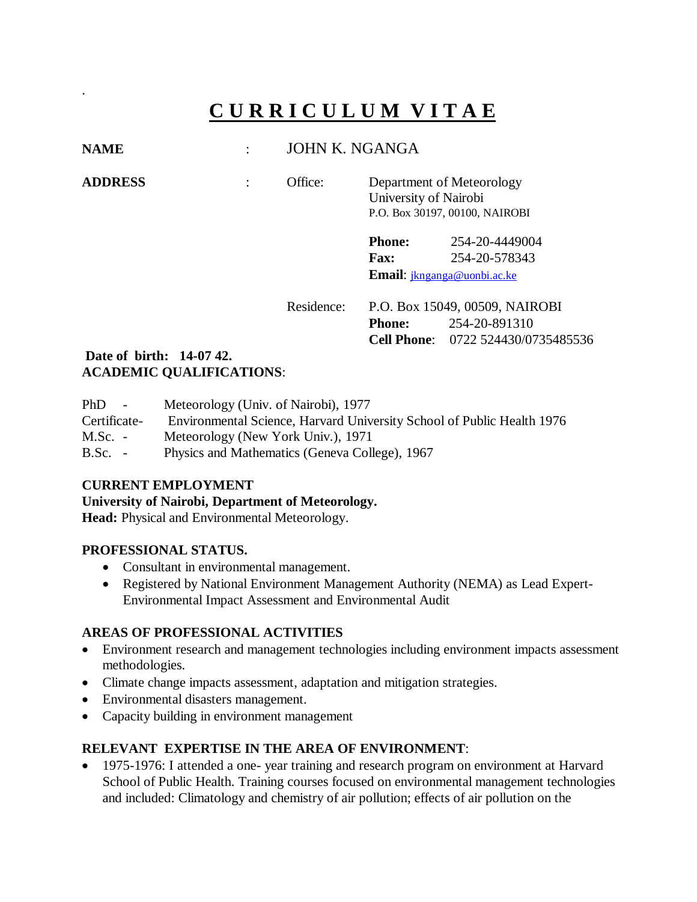# **C U R R I C U L U M V I T A E**

# **NAME** : JOHN K. NGANGA

.

**ADDRESS** : Office: Department of Meteorology University of Nairobi P.O. Box 30197, 00100, NAIROBI

> **Phone:** 254-20-4449004 **Fax:** 254-20-578343 **Email**: [jknganga@uonbi.ac.ke](mailto:jknganga@uonbi.ac.ke)

Residence: P.O. Box 15049, 00509, NAIROBI **Phone:** 254-20-891310 **Cell Phone**: 0722 524430/0735485536

## **Date of birth: 14-07 42. ACADEMIC QUALIFICATIONS**:

| PhD<br><b>Contract Contract</b> | Meteorology (Univ. of Nairobi), 1977                                   |
|---------------------------------|------------------------------------------------------------------------|
| Certificate-                    | Environmental Science, Harvard University School of Public Health 1976 |
| $M.Sc.$ -                       | Meteorology (New York Univ.), 1971                                     |
| $B.Sc. -$                       | Physics and Mathematics (Geneva College), 1967                         |

# **CURRENT EMPLOYMENT**

#### **University of Nairobi, Department of Meteorology.**

**Head:** Physical and Environmental Meteorology.

#### **PROFESSIONAL STATUS.**

- Consultant in environmental management.
- Registered by National Environment Management Authority (NEMA) as Lead Expert-Environmental Impact Assessment and Environmental Audit

# **AREAS OF PROFESSIONAL ACTIVITIES**

- Environment research and management technologies including environment impacts assessment methodologies.
- Climate change impacts assessment, adaptation and mitigation strategies.
- Environmental disasters management.
- Capacity building in environment management

# **RELEVANT EXPERTISE IN THE AREA OF ENVIRONMENT**:

• 1975-1976: I attended a one- year training and research program on environment at Harvard School of Public Health. Training courses focused on environmental management technologies and included: Climatology and chemistry of air pollution; effects of air pollution on the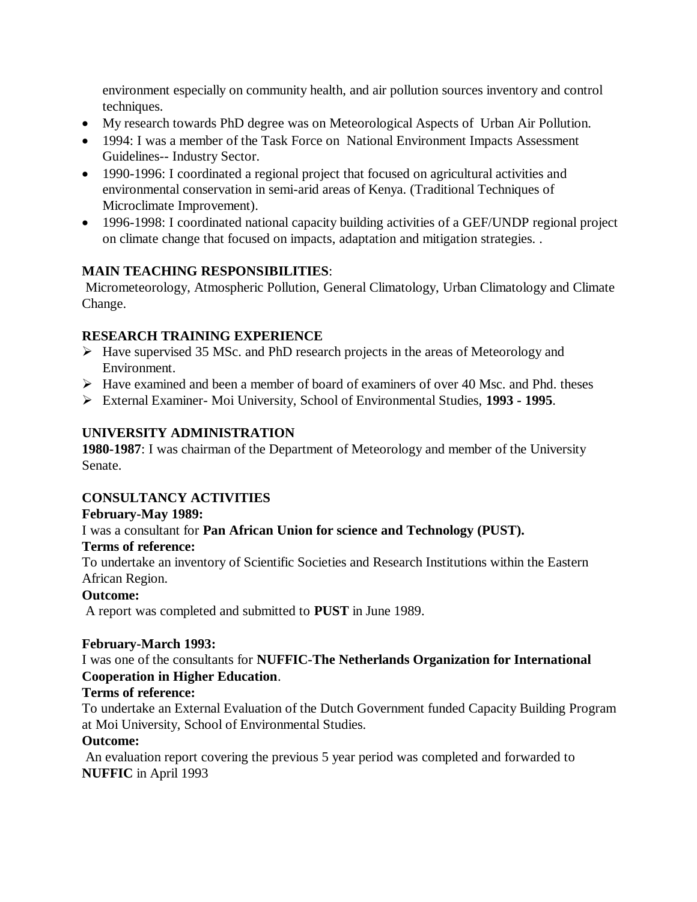environment especially on community health, and air pollution sources inventory and control techniques.

- My research towards PhD degree was on Meteorological Aspects of Urban Air Pollution.
- 1994: I was a member of the Task Force on National Environment Impacts Assessment Guidelines-- Industry Sector.
- 1990-1996: I coordinated a regional project that focused on agricultural activities and environmental conservation in semi-arid areas of Kenya. (Traditional Techniques of Microclimate Improvement).
- 1996-1998: I coordinated national capacity building activities of a GEF/UNDP regional project on climate change that focused on impacts, adaptation and mitigation strategies. .

#### **MAIN TEACHING RESPONSIBILITIES**:

Micrometeorology, Atmospheric Pollution, General Climatology, Urban Climatology and Climate Change.

# **RESEARCH TRAINING EXPERIENCE**

- $\triangleright$  Have supervised 35 MSc. and PhD research projects in the areas of Meteorology and Environment.
- $\triangleright$  Have examined and been a member of board of examiners of over 40 Msc. and Phd. theses
- External Examiner- Moi University, School of Environmental Studies, **1993 - 1995**.

# **UNIVERSITY ADMINISTRATION**

**1980-1987**: I was chairman of the Department of Meteorology and member of the University Senate.

# **CONSULTANCY ACTIVITIES**

# **February-May 1989:**

# I was a consultant for **Pan African Union for science and Technology (PUST).**

#### **Terms of reference:**

To undertake an inventory of Scientific Societies and Research Institutions within the Eastern African Region.

# **Outcome:**

A report was completed and submitted to **PUST** in June 1989.

#### **February-March 1993:**

I was one of the consultants for **NUFFIC-The Netherlands Organization for International Cooperation in Higher Education**.

# **Terms of reference:**

To undertake an External Evaluation of the Dutch Government funded Capacity Building Program at Moi University, School of Environmental Studies.

#### **Outcome:**

An evaluation report covering the previous 5 year period was completed and forwarded to **NUFFIC** in April 1993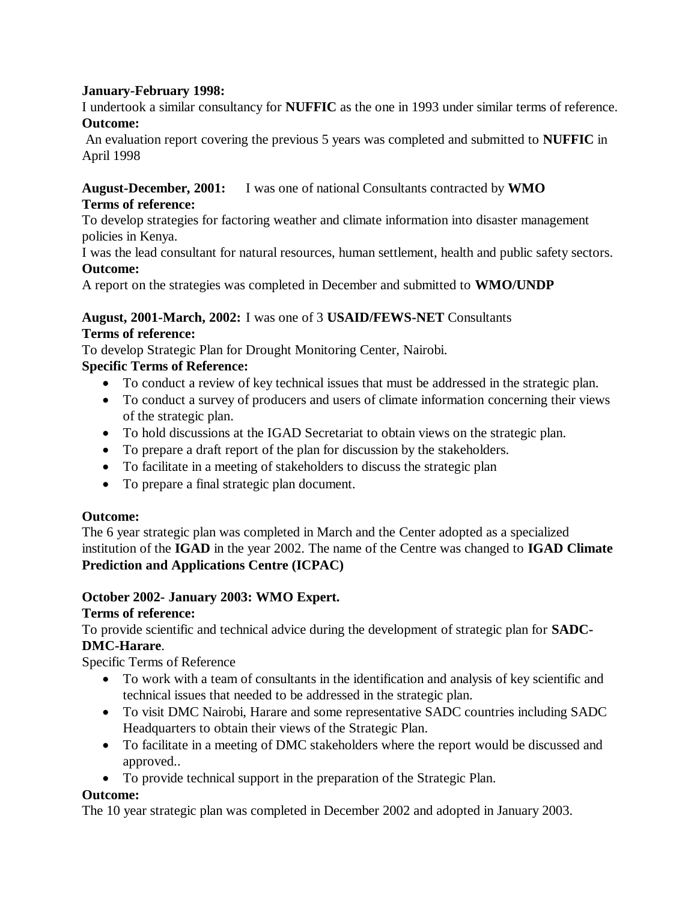#### **January-February 1998:**

I undertook a similar consultancy for **NUFFIC** as the one in 1993 under similar terms of reference. **Outcome:**

An evaluation report covering the previous 5 years was completed and submitted to **NUFFIC** in April 1998

# **August-December, 2001:** I was one of national Consultants contracted by **WMO**

#### **Terms of reference:**

To develop strategies for factoring weather and climate information into disaster management policies in Kenya.

I was the lead consultant for natural resources, human settlement, health and public safety sectors. **Outcome:**

A report on the strategies was completed in December and submitted to **WMO/UNDP**

## **August, 2001-March, 2002:** I was one of 3 **USAID/FEWS-NET** Consultants **Terms of reference:**

To develop Strategic Plan for Drought Monitoring Center, Nairobi.

# **Specific Terms of Reference:**

- To conduct a review of key technical issues that must be addressed in the strategic plan.
- To conduct a survey of producers and users of climate information concerning their views of the strategic plan.
- To hold discussions at the IGAD Secretariat to obtain views on the strategic plan.
- To prepare a draft report of the plan for discussion by the stakeholders.
- To facilitate in a meeting of stakeholders to discuss the strategic plan
- To prepare a final strategic plan document.

# **Outcome:**

The 6 year strategic plan was completed in March and the Center adopted as a specialized institution of the **IGAD** in the year 2002. The name of the Centre was changed to **IGAD Climate Prediction and Applications Centre (ICPAC)**

# **October 2002- January 2003: WMO Expert.**

# **Terms of reference:**

To provide scientific and technical advice during the development of strategic plan for **SADC-**

# **DMC-Harare**.

Specific Terms of Reference

- To work with a team of consultants in the identification and analysis of key scientific and technical issues that needed to be addressed in the strategic plan.
- To visit DMC Nairobi, Harare and some representative SADC countries including SADC Headquarters to obtain their views of the Strategic Plan.
- To facilitate in a meeting of DMC stakeholders where the report would be discussed and approved..
- To provide technical support in the preparation of the Strategic Plan.

# **Outcome:**

The 10 year strategic plan was completed in December 2002 and adopted in January 2003.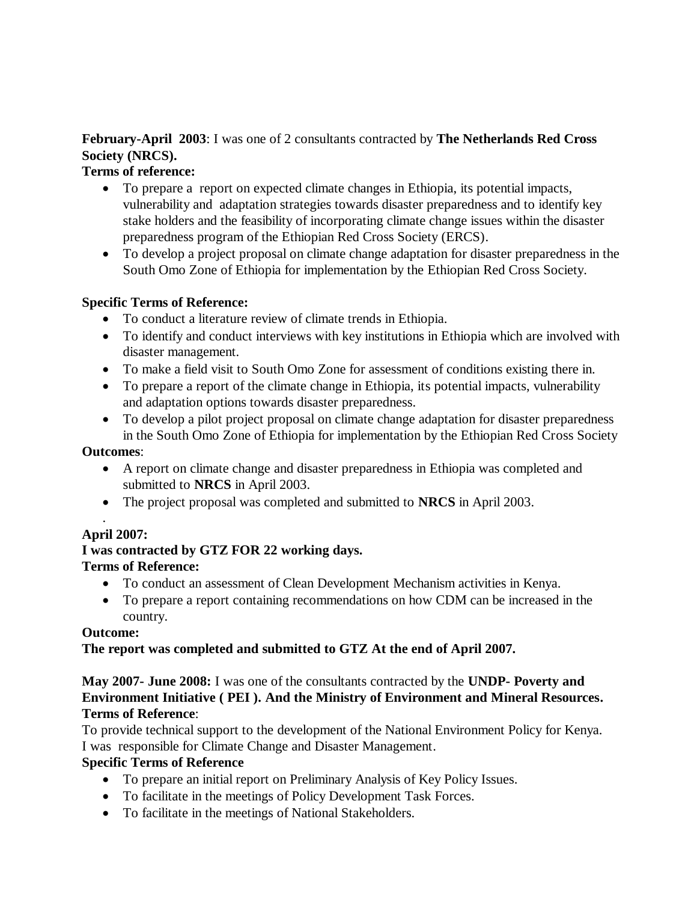# **February-April 2003**: I was one of 2 consultants contracted by **The Netherlands Red Cross Society (NRCS).**

#### **Terms of reference:**

- To prepare a report on expected climate changes in Ethiopia, its potential impacts, vulnerability and adaptation strategies towards disaster preparedness and to identify key stake holders and the feasibility of incorporating climate change issues within the disaster preparedness program of the Ethiopian Red Cross Society (ERCS).
- To develop a project proposal on climate change adaptation for disaster preparedness in the South Omo Zone of Ethiopia for implementation by the Ethiopian Red Cross Society.

#### **Specific Terms of Reference:**

- To conduct a literature review of climate trends in Ethiopia.
- To identify and conduct interviews with key institutions in Ethiopia which are involved with disaster management.
- To make a field visit to South Omo Zone for assessment of conditions existing there in.
- To prepare a report of the climate change in Ethiopia, its potential impacts, vulnerability and adaptation options towards disaster preparedness.
- To develop a pilot project proposal on climate change adaptation for disaster preparedness in the South Omo Zone of Ethiopia for implementation by the Ethiopian Red Cross Society

#### **Outcomes**:

- A report on climate change and disaster preparedness in Ethiopia was completed and submitted to **NRCS** in April 2003.
- The project proposal was completed and submitted to **NRCS** in April 2003.

#### . **April 2007:**

# **I was contracted by GTZ FOR 22 working days.**

# **Terms of Reference:**

- To conduct an assessment of Clean Development Mechanism activities in Kenya.
- To prepare a report containing recommendations on how CDM can be increased in the country.

#### **Outcome:**

# **The report was completed and submitted to GTZ At the end of April 2007.**

**May 2007- June 2008:** I was one of the consultants contracted by the **UNDP- Poverty and Environment Initiative ( PEI ). And the Ministry of Environment and Mineral Resources. Terms of Reference**:

To provide technical support to the development of the National Environment Policy for Kenya. I was responsible for Climate Change and Disaster Management.

# **Specific Terms of Reference**

- To prepare an initial report on Preliminary Analysis of Key Policy Issues.
- To facilitate in the meetings of Policy Development Task Forces.
- To facilitate in the meetings of National Stakeholders.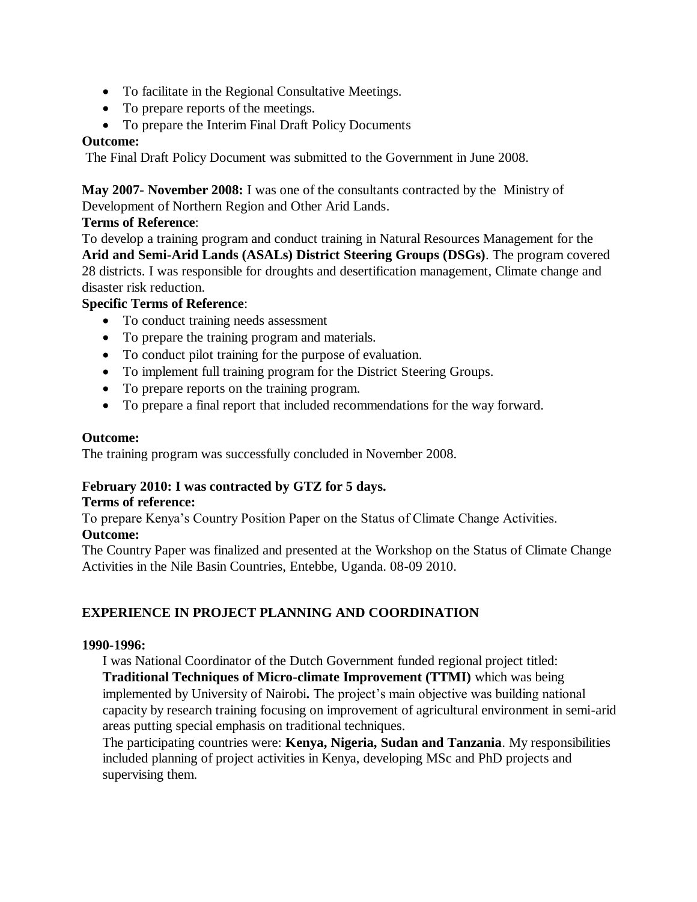- To facilitate in the Regional Consultative Meetings.
- To prepare reports of the meetings.
- To prepare the Interim Final Draft Policy Documents

#### **Outcome:**

The Final Draft Policy Document was submitted to the Government in June 2008.

**May 2007- November 2008:** I was one of the consultants contracted by the Ministry of Development of Northern Region and Other Arid Lands.

#### **Terms of Reference**:

To develop a training program and conduct training in Natural Resources Management for the **Arid and Semi-Arid Lands (ASALs) District Steering Groups (DSGs)**. The program covered 28 districts. I was responsible for droughts and desertification management, Climate change and disaster risk reduction.

#### **Specific Terms of Reference**:

- To conduct training needs assessment
- To prepare the training program and materials.
- To conduct pilot training for the purpose of evaluation.
- To implement full training program for the District Steering Groups.
- To prepare reports on the training program.
- To prepare a final report that included recommendations for the way forward.

#### **Outcome:**

The training program was successfully concluded in November 2008.

# **February 2010: I was contracted by GTZ for 5 days.**

#### **Terms of reference:**

To prepare Kenya's Country Position Paper on the Status of Climate Change Activities.

## **Outcome:**

The Country Paper was finalized and presented at the Workshop on the Status of Climate Change Activities in the Nile Basin Countries, Entebbe, Uganda. 08-09 2010.

# **EXPERIENCE IN PROJECT PLANNING AND COORDINATION**

#### **1990-1996:**

I was National Coordinator of the Dutch Government funded regional project titled: **Traditional Techniques of Micro-climate Improvement (TTMI)** which was being implemented by University of Nairobi**.** The project's main objective was building national capacity by research training focusing on improvement of agricultural environment in semi-arid areas putting special emphasis on traditional techniques.

The participating countries were: **Kenya, Nigeria, Sudan and Tanzania**. My responsibilities included planning of project activities in Kenya, developing MSc and PhD projects and supervising them.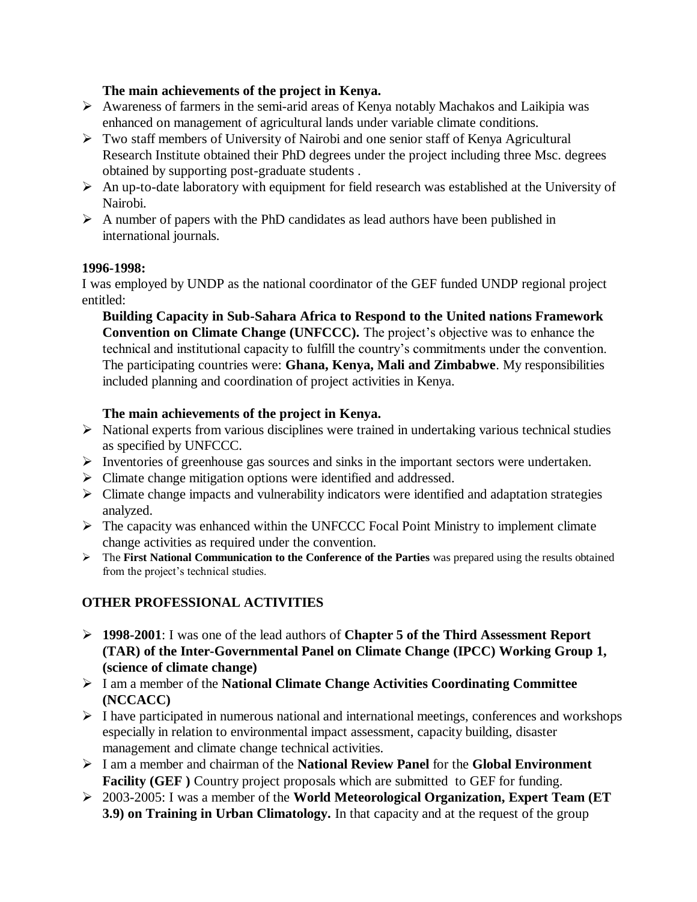#### **The main achievements of the project in Kenya.**

- $\triangleright$  Awareness of farmers in the semi-arid areas of Kenya notably Machakos and Laikipia was enhanced on management of agricultural lands under variable climate conditions.
- Two staff members of University of Nairobi and one senior staff of Kenya Agricultural Research Institute obtained their PhD degrees under the project including three Msc. degrees obtained by supporting post-graduate students .
- $\triangleright$  An up-to-date laboratory with equipment for field research was established at the University of Nairobi.
- $\triangleright$  A number of papers with the PhD candidates as lead authors have been published in international journals.

#### **1996-1998:**

I was employed by UNDP as the national coordinator of the GEF funded UNDP regional project entitled:

**Building Capacity in Sub-Sahara Africa to Respond to the United nations Framework Convention on Climate Change (UNFCCC).** The project's objective was to enhance the technical and institutional capacity to fulfill the country's commitments under the convention. The participating countries were: **Ghana, Kenya, Mali and Zimbabwe**. My responsibilities included planning and coordination of project activities in Kenya.

#### **The main achievements of the project in Kenya.**

- $\triangleright$  National experts from various disciplines were trained in undertaking various technical studies as specified by UNFCCC.
- $\triangleright$  Inventories of greenhouse gas sources and sinks in the important sectors were undertaken.
- Climate change mitigation options were identified and addressed.
- $\triangleright$  Climate change impacts and vulnerability indicators were identified and adaptation strategies analyzed.
- $\triangleright$  The capacity was enhanced within the UNFCCC Focal Point Ministry to implement climate change activities as required under the convention.
- The **First National Communication to the Conference of the Parties** was prepared using the results obtained from the project's technical studies.

# **OTHER PROFESSIONAL ACTIVITIES**

- **1998-2001**: I was one of the lead authors of **Chapter 5 of the Third Assessment Report (TAR) of the Inter-Governmental Panel on Climate Change (IPCC) Working Group 1, (science of climate change)**
- I am a member of the **National Climate Change Activities Coordinating Committee (NCCACC)**
- $\triangleright$  I have participated in numerous national and international meetings, conferences and workshops especially in relation to environmental impact assessment, capacity building, disaster management and climate change technical activities.
- I am a member and chairman of the **National Review Panel** for the **Global Environment Facility (GEF)** Country project proposals which are submitted to GEF for funding.
- 2003-2005: I was a member of the **World Meteorological Organization, Expert Team (ET 3.9) on Training in Urban Climatology.** In that capacity and at the request of the group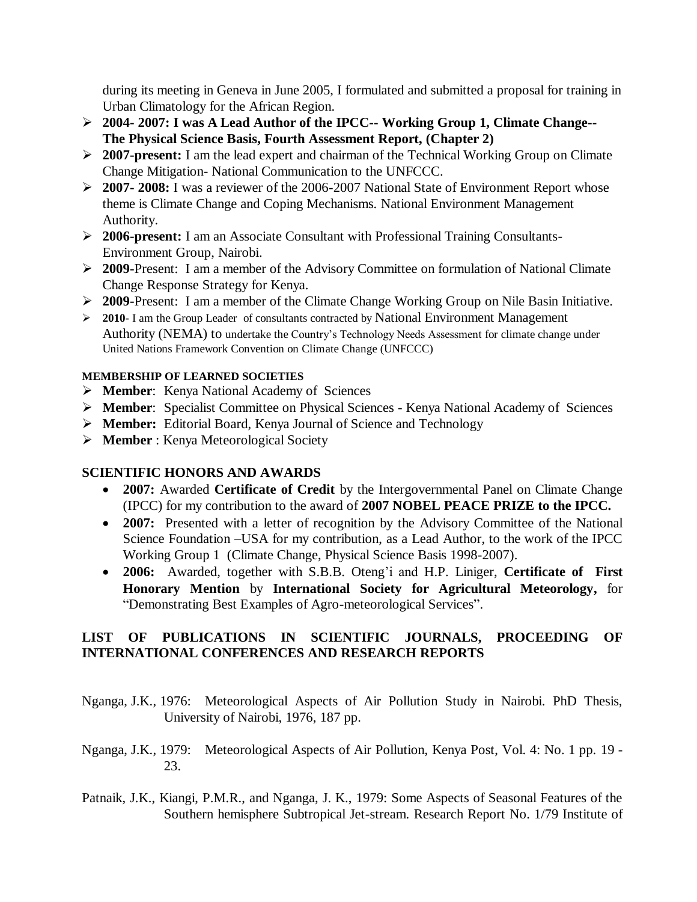during its meeting in Geneva in June 2005, I formulated and submitted a proposal for training in Urban Climatology for the African Region.

- **2004- 2007: I was A Lead Author of the IPCC-- Working Group 1, Climate Change-- The Physical Science Basis, Fourth Assessment Report, (Chapter 2)**
- **2007-present:** I am the lead expert and chairman of the Technical Working Group on Climate Change Mitigation- National Communication to the UNFCCC.
- **2007- 2008:** I was a reviewer of the 2006-2007 National State of Environment Report whose theme is Climate Change and Coping Mechanisms. National Environment Management Authority.
- **2006-present:** I am an Associate Consultant with Professional Training Consultants-Environment Group, Nairobi.
- **2009-**Present: I am a member of the Advisory Committee on formulation of National Climate Change Response Strategy for Kenya.
- **2009-**Present: I am a member of the Climate Change Working Group on Nile Basin Initiative.
- **2010-** I am the Group Leader of consultants contracted by National Environment Management Authority (NEMA) to undertake the Country's Technology Needs Assessment for climate change under United Nations Framework Convention on Climate Change (UNFCCC)

#### **MEMBERSHIP OF LEARNED SOCIETIES**

- **Member**: Kenya National Academy of Sciences
- **Member**: Specialist Committee on Physical Sciences Kenya National Academy of Sciences
- **Member:** Editorial Board, Kenya Journal of Science and Technology
- **Member** : Kenya Meteorological Society

# **SCIENTIFIC HONORS AND AWARDS**

- **2007:** Awarded **Certificate of Credit** by the Intergovernmental Panel on Climate Change (IPCC) for my contribution to the award of **2007 NOBEL PEACE PRIZE to the IPCC.**
- 2007: Presented with a letter of recognition by the Advisory Committee of the National Science Foundation –USA for my contribution, as a Lead Author, to the work of the IPCC Working Group 1 (Climate Change, Physical Science Basis 1998-2007).
- **2006:** Awarded, together with S.B.B. Oteng'i and H.P. Liniger, **Certificate of First Honorary Mention** by **International Society for Agricultural Meteorology,** for "Demonstrating Best Examples of Agro-meteorological Services".

#### **LIST OF PUBLICATIONS IN SCIENTIFIC JOURNALS, PROCEEDING OF INTERNATIONAL CONFERENCES AND RESEARCH REPORTS**

- Nganga, J.K., 1976: Meteorological Aspects of Air Pollution Study in Nairobi. PhD Thesis, University of Nairobi, 1976, 187 pp.
- Nganga, J.K., 1979: Meteorological Aspects of Air Pollution, Kenya Post, Vol. 4: No. 1 pp. 19 23.
- Patnaik, J.K., Kiangi, P.M.R., and Nganga, J. K., 1979: Some Aspects of Seasonal Features of the Southern hemisphere Subtropical Jet-stream. Research Report No. 1/79 Institute of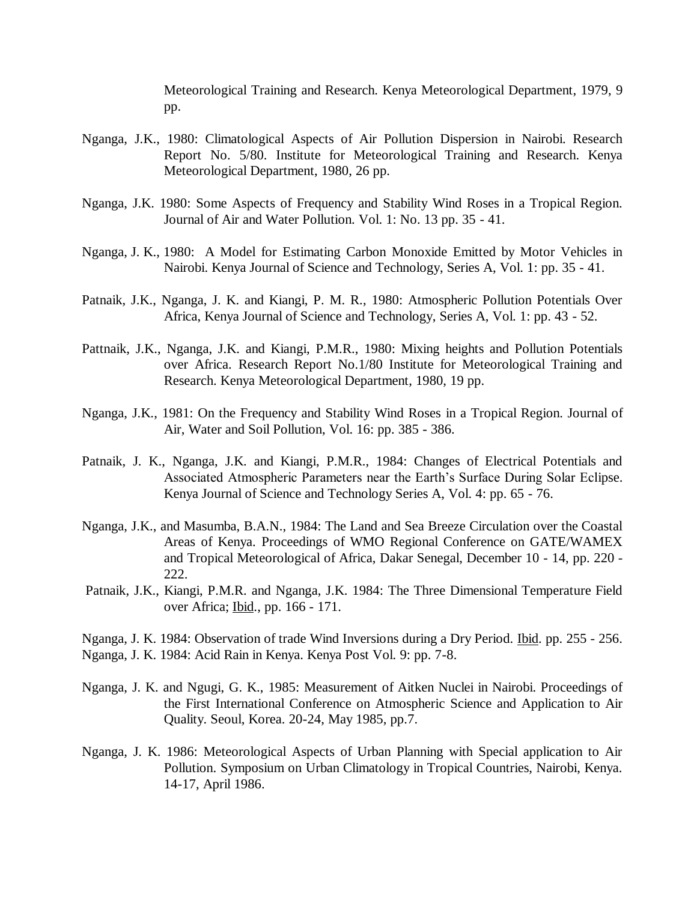Meteorological Training and Research. Kenya Meteorological Department, 1979, 9 pp.

- Nganga, J.K., 1980: Climatological Aspects of Air Pollution Dispersion in Nairobi. Research Report No. 5/80. Institute for Meteorological Training and Research. Kenya Meteorological Department, 1980, 26 pp.
- Nganga, J.K. 1980: Some Aspects of Frequency and Stability Wind Roses in a Tropical Region. Journal of Air and Water Pollution. Vol. 1: No. 13 pp. 35 - 41.
- Nganga, J. K., 1980: A Model for Estimating Carbon Monoxide Emitted by Motor Vehicles in Nairobi. Kenya Journal of Science and Technology, Series A, Vol. 1: pp. 35 - 41.
- Patnaik, J.K., Nganga, J. K. and Kiangi, P. M. R., 1980: Atmospheric Pollution Potentials Over Africa, Kenya Journal of Science and Technology, Series A, Vol. 1: pp. 43 - 52.
- Pattnaik, J.K., Nganga, J.K. and Kiangi, P.M.R., 1980: Mixing heights and Pollution Potentials over Africa. Research Report No.1/80 Institute for Meteorological Training and Research. Kenya Meteorological Department, 1980, 19 pp.
- Nganga, J.K., 1981: On the Frequency and Stability Wind Roses in a Tropical Region. Journal of Air, Water and Soil Pollution, Vol. 16: pp. 385 - 386.
- Patnaik, J. K., Nganga, J.K. and Kiangi, P.M.R., 1984: Changes of Electrical Potentials and Associated Atmospheric Parameters near the Earth's Surface During Solar Eclipse. Kenya Journal of Science and Technology Series A, Vol. 4: pp. 65 - 76.
- Nganga, J.K., and Masumba, B.A.N., 1984: The Land and Sea Breeze Circulation over the Coastal Areas of Kenya. Proceedings of WMO Regional Conference on GATE/WAMEX and Tropical Meteorological of Africa, Dakar Senegal, December 10 - 14, pp. 220 - 222.
- Patnaik, J.K., Kiangi, P.M.R. and Nganga, J.K. 1984: The Three Dimensional Temperature Field over Africa; Ibid., pp. 166 - 171.
- Nganga, J. K. 1984: Observation of trade Wind Inversions during a Dry Period. Ibid. pp. 255 256. Nganga, J. K. 1984: Acid Rain in Kenya. Kenya Post Vol. 9: pp. 7-8.
- Nganga, J. K. and Ngugi, G. K., 1985: Measurement of Aitken Nuclei in Nairobi. Proceedings of the First International Conference on Atmospheric Science and Application to Air Quality. Seoul, Korea. 20-24, May 1985, pp.7.
- Nganga, J. K. 1986: Meteorological Aspects of Urban Planning with Special application to Air Pollution. Symposium on Urban Climatology in Tropical Countries, Nairobi, Kenya. 14-17, April 1986.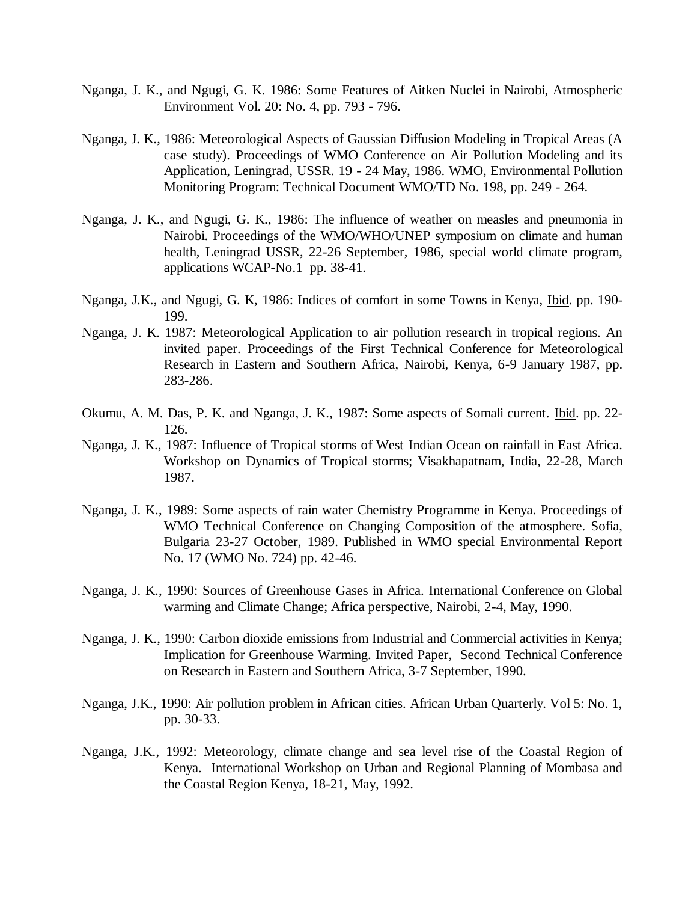- Nganga, J. K., and Ngugi, G. K. 1986: Some Features of Aitken Nuclei in Nairobi, Atmospheric Environment Vol. 20: No. 4, pp. 793 - 796.
- Nganga, J. K., 1986: Meteorological Aspects of Gaussian Diffusion Modeling in Tropical Areas (A case study). Proceedings of WMO Conference on Air Pollution Modeling and its Application, Leningrad, USSR. 19 - 24 May, 1986. WMO, Environmental Pollution Monitoring Program: Technical Document WMO/TD No. 198, pp. 249 - 264.
- Nganga, J. K., and Ngugi, G. K., 1986: The influence of weather on measles and pneumonia in Nairobi. Proceedings of the WMO/WHO/UNEP symposium on climate and human health, Leningrad USSR, 22-26 September, 1986, special world climate program, applications WCAP-No.1 pp. 38-41.
- Nganga, J.K., and Ngugi, G. K, 1986: Indices of comfort in some Towns in Kenya, Ibid. pp. 190- 199.
- Nganga, J. K. 1987: Meteorological Application to air pollution research in tropical regions. An invited paper. Proceedings of the First Technical Conference for Meteorological Research in Eastern and Southern Africa, Nairobi, Kenya, 6-9 January 1987, pp. 283-286.
- Okumu, A. M. Das, P. K. and Nganga, J. K., 1987: Some aspects of Somali current. Ibid. pp. 22- 126.
- Nganga, J. K., 1987: Influence of Tropical storms of West Indian Ocean on rainfall in East Africa. Workshop on Dynamics of Tropical storms; Visakhapatnam, India, 22-28, March 1987.
- Nganga, J. K., 1989: Some aspects of rain water Chemistry Programme in Kenya. Proceedings of WMO Technical Conference on Changing Composition of the atmosphere. Sofia, Bulgaria 23-27 October, 1989. Published in WMO special Environmental Report No. 17 (WMO No. 724) pp. 42-46.
- Nganga, J. K., 1990: Sources of Greenhouse Gases in Africa. International Conference on Global warming and Climate Change; Africa perspective, Nairobi, 2-4, May, 1990.
- Nganga, J. K., 1990: Carbon dioxide emissions from Industrial and Commercial activities in Kenya; Implication for Greenhouse Warming. Invited Paper, Second Technical Conference on Research in Eastern and Southern Africa, 3-7 September, 1990.
- Nganga, J.K., 1990: Air pollution problem in African cities. African Urban Quarterly. Vol 5: No. 1, pp. 30-33.
- Nganga, J.K., 1992: Meteorology, climate change and sea level rise of the Coastal Region of Kenya. International Workshop on Urban and Regional Planning of Mombasa and the Coastal Region Kenya, 18-21, May, 1992.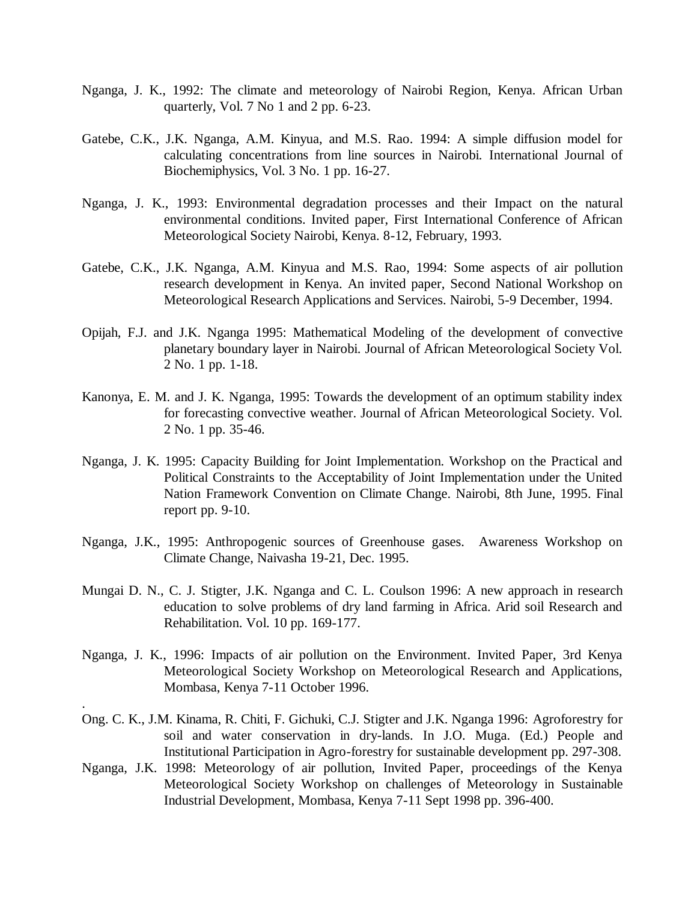- Nganga, J. K., 1992: The climate and meteorology of Nairobi Region, Kenya. African Urban quarterly, Vol. 7 No 1 and 2 pp. 6-23.
- Gatebe, C.K., J.K. Nganga, A.M. Kinyua, and M.S. Rao. 1994: A simple diffusion model for calculating concentrations from line sources in Nairobi. International Journal of Biochemiphysics, Vol. 3 No. 1 pp. 16-27.
- Nganga, J. K., 1993: Environmental degradation processes and their Impact on the natural environmental conditions. Invited paper, First International Conference of African Meteorological Society Nairobi, Kenya. 8-12, February, 1993.
- Gatebe, C.K., J.K. Nganga, A.M. Kinyua and M.S. Rao, 1994: Some aspects of air pollution research development in Kenya. An invited paper, Second National Workshop on Meteorological Research Applications and Services. Nairobi, 5-9 December, 1994.
- Opijah, F.J. and J.K. Nganga 1995: Mathematical Modeling of the development of convective planetary boundary layer in Nairobi. Journal of African Meteorological Society Vol. 2 No. 1 pp. 1-18.
- Kanonya, E. M. and J. K. Nganga, 1995: Towards the development of an optimum stability index for forecasting convective weather. Journal of African Meteorological Society. Vol. 2 No. 1 pp. 35-46.
- Nganga, J. K. 1995: Capacity Building for Joint Implementation. Workshop on the Practical and Political Constraints to the Acceptability of Joint Implementation under the United Nation Framework Convention on Climate Change. Nairobi, 8th June, 1995. Final report pp. 9-10.
- Nganga, J.K., 1995: Anthropogenic sources of Greenhouse gases. Awareness Workshop on Climate Change, Naivasha 19-21, Dec. 1995.
- Mungai D. N., C. J. Stigter, J.K. Nganga and C. L. Coulson 1996: A new approach in research education to solve problems of dry land farming in Africa. Arid soil Research and Rehabilitation. Vol. 10 pp. 169-177.
- Nganga, J. K., 1996: Impacts of air pollution on the Environment. Invited Paper, 3rd Kenya Meteorological Society Workshop on Meteorological Research and Applications, Mombasa, Kenya 7-11 October 1996.

.

- Ong. C. K., J.M. Kinama, R. Chiti, F. Gichuki, C.J. Stigter and J.K. Nganga 1996: Agroforestry for soil and water conservation in dry-lands. In J.O. Muga. (Ed.) People and Institutional Participation in Agro-forestry for sustainable development pp. 297-308.
- Nganga, J.K. 1998: Meteorology of air pollution, Invited Paper, proceedings of the Kenya Meteorological Society Workshop on challenges of Meteorology in Sustainable Industrial Development, Mombasa, Kenya 7-11 Sept 1998 pp. 396-400.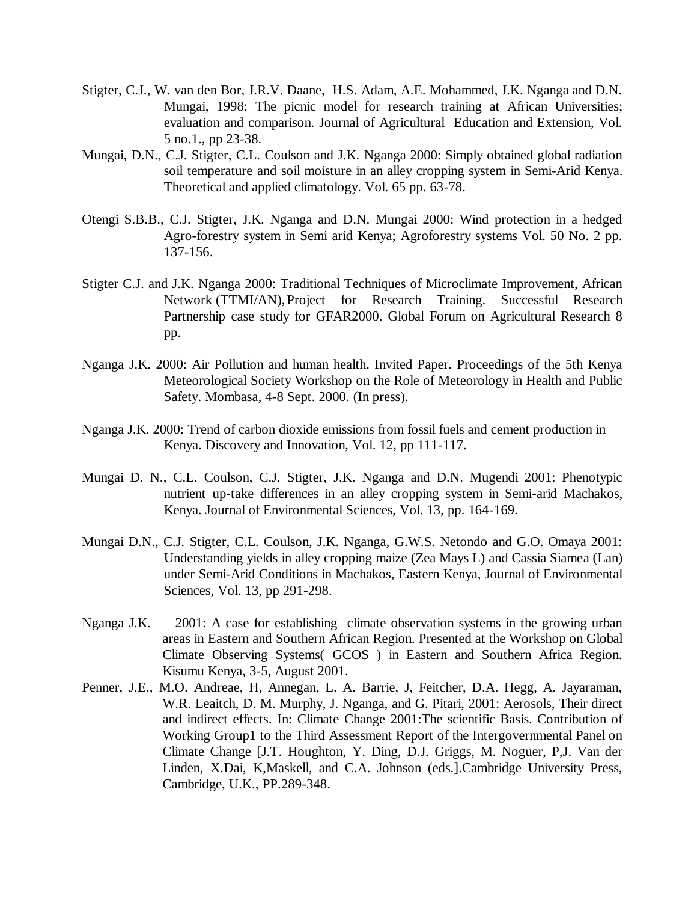- Stigter, C.J., W. van den Bor, J.R.V. Daane, H.S. Adam, A.E. Mohammed, J.K. Nganga and D.N. Mungai, 1998: The picnic model for research training at African Universities; evaluation and comparison. Journal of Agricultural Education and Extension, Vol. 5 no.1., pp 23-38.
- Mungai, D.N., C.J. Stigter, C.L. Coulson and J.K. Nganga 2000: Simply obtained global radiation soil temperature and soil moisture in an alley cropping system in Semi-Arid Kenya. Theoretical and applied climatology. Vol. 65 pp. 63-78.
- Otengi S.B.B., C.J. Stigter, J.K. Nganga and D.N. Mungai 2000: Wind protection in a hedged Agro-forestry system in Semi arid Kenya; Agroforestry systems Vol. 50 No. 2 pp. 137-156.
- Stigter C.J. and J.K. Nganga 2000: Traditional Techniques of Microclimate Improvement, African Network (TTMI/AN),Project for Research Training. Successful Research Partnership case study for GFAR2000. Global Forum on Agricultural Research 8 pp.
- Nganga J.K. 2000: Air Pollution and human health. Invited Paper. Proceedings of the 5th Kenya Meteorological Society Workshop on the Role of Meteorology in Health and Public Safety. Mombasa, 4-8 Sept. 2000. (In press).
- Nganga J.K. 2000: Trend of carbon dioxide emissions from fossil fuels and cement production in Kenya. Discovery and Innovation, Vol. 12, pp 111-117.
- Mungai D. N., C.L. Coulson, C.J. Stigter, J.K. Nganga and D.N. Mugendi 2001: Phenotypic nutrient up-take differences in an alley cropping system in Semi-arid Machakos, Kenya. Journal of Environmental Sciences, Vol. 13, pp. 164-169.
- Mungai D.N., C.J. Stigter, C.L. Coulson, J.K. Nganga, G.W.S. Netondo and G.O. Omaya 2001: Understanding yields in alley cropping maize (Zea Mays L) and Cassia Siamea (Lan) under Semi-Arid Conditions in Machakos, Eastern Kenya, Journal of Environmental Sciences, Vol. 13, pp 291-298.
- Nganga J.K. 2001: A case for establishing climate observation systems in the growing urban areas in Eastern and Southern African Region. Presented at the Workshop on Global Climate Observing Systems( GCOS ) in Eastern and Southern Africa Region. Kisumu Kenya, 3-5, August 2001.
- Penner, J.E., M.O. Andreae, H, Annegan, L. A. Barrie, J, Feitcher, D.A. Hegg, A. Jayaraman, W.R. Leaitch, D. M. Murphy, J. Nganga, and G. Pitari, 2001: Aerosols, Their direct and indirect effects. In: Climate Change 2001:The scientific Basis. Contribution of Working Group1 to the Third Assessment Report of the Intergovernmental Panel on Climate Change [J.T. Houghton, Y. Ding, D.J. Griggs, M. Noguer, P,J. Van der Linden, X.Dai, K,Maskell, and C.A. Johnson (eds.].Cambridge University Press, Cambridge, U.K., PP.289-348.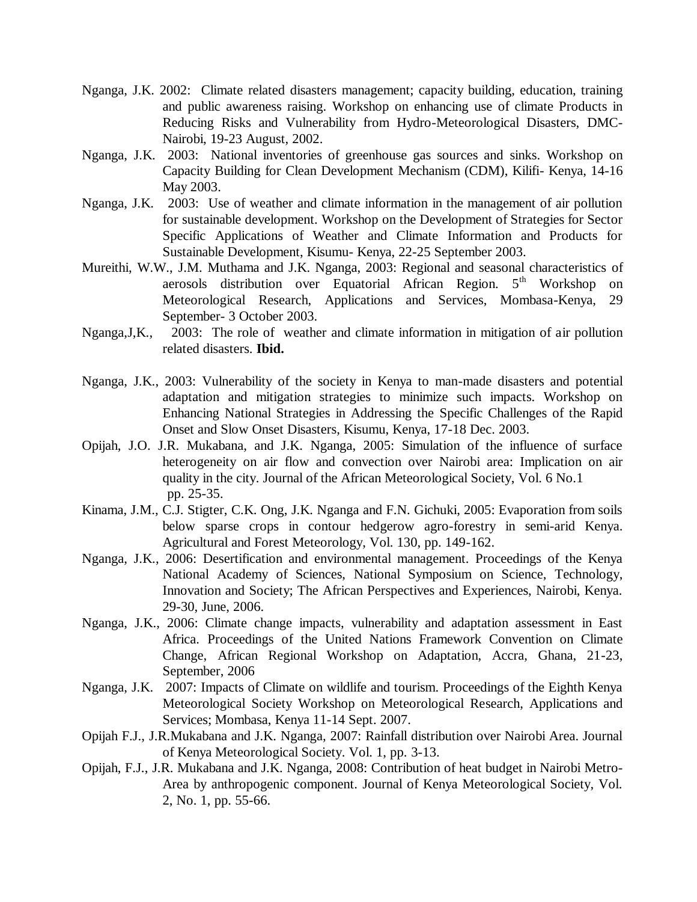- Nganga, J.K. 2002: Climate related disasters management; capacity building, education, training and public awareness raising. Workshop on enhancing use of climate Products in Reducing Risks and Vulnerability from Hydro-Meteorological Disasters, DMC-Nairobi, 19-23 August, 2002.
- Nganga, J.K. 2003: National inventories of greenhouse gas sources and sinks. Workshop on Capacity Building for Clean Development Mechanism (CDM), Kilifi- Kenya, 14-16 May 2003.
- Nganga, J.K. 2003: Use of weather and climate information in the management of air pollution for sustainable development. Workshop on the Development of Strategies for Sector Specific Applications of Weather and Climate Information and Products for Sustainable Development, Kisumu- Kenya, 22-25 September 2003.
- Mureithi, W.W., J.M. Muthama and J.K. Nganga, 2003: Regional and seasonal characteristics of aerosols distribution over Equatorial African Region. 5<sup>th</sup> Workshop on Meteorological Research, Applications and Services, Mombasa-Kenya, 29 September- 3 October 2003.
- Nganga,J,K., 2003: The role of weather and climate information in mitigation of air pollution related disasters. **Ibid.**
- Nganga, J.K., 2003: Vulnerability of the society in Kenya to man-made disasters and potential adaptation and mitigation strategies to minimize such impacts. Workshop on Enhancing National Strategies in Addressing the Specific Challenges of the Rapid Onset and Slow Onset Disasters, Kisumu, Kenya, 17-18 Dec. 2003.
- Opijah, J.O. J.R. Mukabana, and J.K. Nganga, 2005: Simulation of the influence of surface heterogeneity on air flow and convection over Nairobi area: Implication on air quality in the city. Journal of the African Meteorological Society, Vol. 6 No.1 pp. 25-35.
- Kinama, J.M., C.J. Stigter, C.K. Ong, J.K. Nganga and F.N. Gichuki, 2005: Evaporation from soils below sparse crops in contour hedgerow agro-forestry in semi-arid Kenya. Agricultural and Forest Meteorology, Vol. 130, pp. 149-162.
- Nganga, J.K., 2006: Desertification and environmental management. Proceedings of the Kenya National Academy of Sciences, National Symposium on Science, Technology, Innovation and Society; The African Perspectives and Experiences, Nairobi, Kenya. 29-30, June, 2006.
- Nganga, J.K., 2006: Climate change impacts, vulnerability and adaptation assessment in East Africa. Proceedings of the United Nations Framework Convention on Climate Change, African Regional Workshop on Adaptation, Accra, Ghana, 21-23, September, 2006
- Nganga, J.K. 2007: Impacts of Climate on wildlife and tourism. Proceedings of the Eighth Kenya Meteorological Society Workshop on Meteorological Research, Applications and Services; Mombasa, Kenya 11-14 Sept. 2007.
- Opijah F.J., J.R.Mukabana and J.K. Nganga, 2007: Rainfall distribution over Nairobi Area. Journal of Kenya Meteorological Society. Vol. 1, pp. 3-13.
- Opijah, F.J., J.R. Mukabana and J.K. Nganga, 2008: Contribution of heat budget in Nairobi Metro-Area by anthropogenic component. Journal of Kenya Meteorological Society, Vol. 2, No. 1, pp. 55-66.